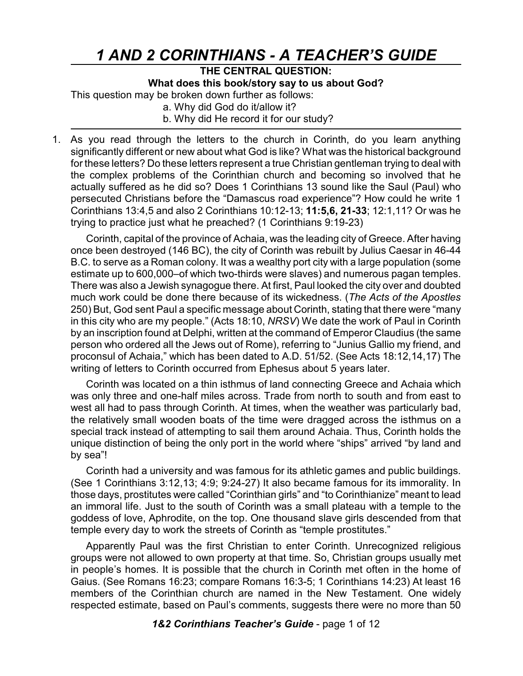## *1 AND 2 CORINTHIANS - A TEACHER'S GUIDE*

**THE CENTRAL QUESTION: What does this book/story say to us about God?** This question may be broken down further as follows: a. Why did God do it/allow it? b. Why did He record it for our study?

1. As you read through the letters to the church in Corinth, do you learn anything significantly different or new about what God is like? What was the historical background for these letters? Do these letters represent a true Christian gentleman trying to deal with the complex problems of the Corinthian church and becoming so involved that he actually suffered as he did so? Does 1 Corinthians 13 sound like the Saul (Paul) who persecuted Christians before the "Damascus road experience"? How could he write 1 Corinthians 13:4,5 and also 2 Corinthians 10:12-13; **11:5,6, 21-33**; 12:1,11? Or was he trying to practice just what he preached? (1 Corinthians 9:19-23)

Corinth, capital of the province of Achaia, was the leading city of Greece. After having once been destroyed (146 BC), the city of Corinth was rebuilt by Julius Caesar in 46-44 B.C. to serve as a Roman colony. It was a wealthy port city with a large population (some estimate up to 600,000–of which two-thirds were slaves) and numerous pagan temples. There was also a Jewish synagogue there. At first, Paul looked the city over and doubted much work could be done there because of its wickedness. (*The Acts of the Apostles* 250) But, God sent Paul a specific message about Corinth, stating that there were "many in this city who are my people." (Acts 18:10, *NRSV*) We date the work of Paul in Corinth by an inscription found at Delphi, written at the command of Emperor Claudius (the same person who ordered all the Jews out of Rome), referring to "Junius Gallio my friend, and proconsul of Achaia," which has been dated to A.D. 51/52. (See Acts 18:12,14,17) The writing of letters to Corinth occurred from Ephesus about 5 years later.

Corinth was located on a thin isthmus of land connecting Greece and Achaia which was only three and one-half miles across. Trade from north to south and from east to west all had to pass through Corinth. At times, when the weather was particularly bad, the relatively small wooden boats of the time were dragged across the isthmus on a special track instead of attempting to sail them around Achaia. Thus, Corinth holds the unique distinction of being the only port in the world where "ships" arrived "by land and by sea"!

Corinth had a university and was famous for its athletic games and public buildings. (See 1 Corinthians 3:12,13; 4:9; 9:24-27) It also became famous for its immorality. In those days, prostitutes were called "Corinthian girls" and "to Corinthianize" meant to lead an immoral life. Just to the south of Corinth was a small plateau with a temple to the goddess of love, Aphrodite, on the top. One thousand slave girls descended from that temple every day to work the streets of Corinth as "temple prostitutes."

Apparently Paul was the first Christian to enter Corinth. Unrecognized religious groups were not allowed to own property at that time. So, Christian groups usually met in people's homes. It is possible that the church in Corinth met often in the home of Gaius. (See Romans 16:23; compare Romans 16:3-5; 1 Corinthians 14:23) At least 16 members of the Corinthian church are named in the New Testament. One widely respected estimate, based on Paul's comments, suggests there were no more than 50

*1&2 Corinthians Teacher's Guide* - page 1 of 12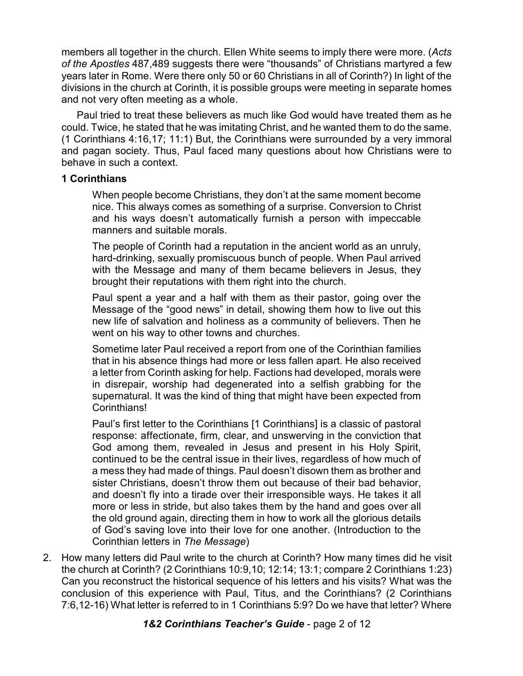members all together in the church. Ellen White seems to imply there were more. (*Acts of the Apostles* 487,489 suggests there were "thousands" of Christians martyred a few years later in Rome. Were there only 50 or 60 Christians in all of Corinth?) In light of the divisions in the church at Corinth, it is possible groups were meeting in separate homes and not very often meeting as a whole.

Paul tried to treat these believers as much like God would have treated them as he could. Twice, he stated that he was imitating Christ, and he wanted them to do the same. (1 Corinthians 4:16,17; 11:1) But, the Corinthians were surrounded by a very immoral and pagan society. Thus, Paul faced many questions about how Christians were to behave in such a context.

## **1 Corinthians**

When people become Christians, they don't at the same moment become nice. This always comes as something of a surprise. Conversion to Christ and his ways doesn't automatically furnish a person with impeccable manners and suitable morals.

The people of Corinth had a reputation in the ancient world as an unruly, hard-drinking, sexually promiscuous bunch of people. When Paul arrived with the Message and many of them became believers in Jesus, they brought their reputations with them right into the church.

Paul spent a year and a half with them as their pastor, going over the Message of the "good news" in detail, showing them how to live out this new life of salvation and holiness as a community of believers. Then he went on his way to other towns and churches.

Sometime later Paul received a report from one of the Corinthian families that in his absence things had more or less fallen apart. He also received a letter from Corinth asking for help. Factions had developed, morals were in disrepair, worship had degenerated into a selfish grabbing for the supernatural. It was the kind of thing that might have been expected from Corinthians!

Paul's first letter to the Corinthians [1 Corinthians] is a classic of pastoral response: affectionate, firm, clear, and unswerving in the conviction that God among them, revealed in Jesus and present in his Holy Spirit, continued to be the central issue in their lives, regardless of how much of a mess they had made of things. Paul doesn't disown them as brother and sister Christians, doesn't throw them out because of their bad behavior, and doesn't fly into a tirade over their irresponsible ways. He takes it all more or less in stride, but also takes them by the hand and goes over all the old ground again, directing them in how to work all the glorious details of God's saving love into their love for one another. (Introduction to the Corinthian letters in *The Message*)

2. How many letters did Paul write to the church at Corinth? How many times did he visit the church at Corinth? (2 Corinthians 10:9,10; 12:14; 13:1; compare 2 Corinthians 1:23) Can you reconstruct the historical sequence of his letters and his visits? What was the conclusion of this experience with Paul, Titus, and the Corinthians? (2 Corinthians 7:6,12-16) What letter is referred to in 1 Corinthians 5:9? Do we have that letter? Where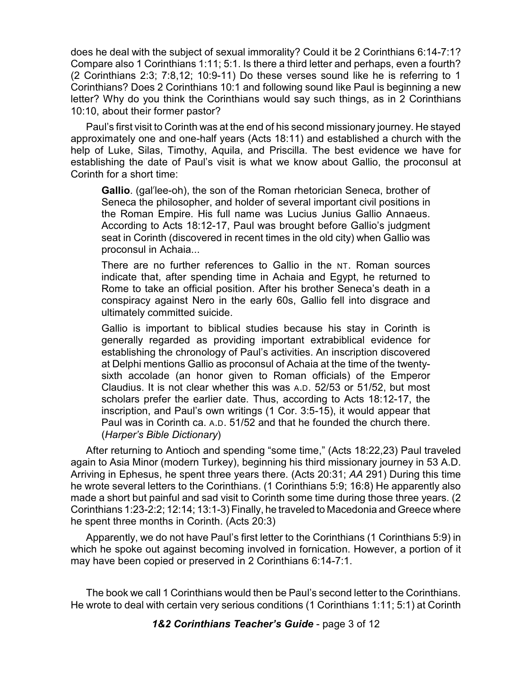does he deal with the subject of sexual immorality? Could it be 2 Corinthians 6:14-7:1? Compare also 1 Corinthians 1:11; 5:1. Is there a third letter and perhaps, even a fourth? (2 Corinthians 2:3; 7:8,12; 10:9-11) Do these verses sound like he is referring to 1 Corinthians? Does 2 Corinthians 10:1 and following sound like Paul is beginning a new letter? Why do you think the Corinthians would say such things, as in 2 Corinthians 10:10, about their former pastor?

Paul's first visit to Corinth was at the end of his second missionary journey. He stayed approximately one and one-half years (Acts 18:11) and established a church with the help of Luke, Silas, Timothy, Aquila, and Priscilla. The best evidence we have for establishing the date of Paul's visit is what we know about Gallio, the proconsul at Corinth for a short time:

**Gallio**. (gal'lee-oh), the son of the Roman rhetorician Seneca, brother of Seneca the philosopher, and holder of several important civil positions in the Roman Empire. His full name was Lucius Junius Gallio Annaeus. According to Acts 18:12-17, Paul was brought before Gallio's judgment seat in Corinth (discovered in recent times in the old city) when Gallio was proconsul in Achaia...

There are no further references to Gallio in the NT. Roman sources indicate that, after spending time in Achaia and Egypt, he returned to Rome to take an official position. After his brother Seneca's death in a conspiracy against Nero in the early 60s, Gallio fell into disgrace and ultimately committed suicide.

Gallio is important to biblical studies because his stay in Corinth is generally regarded as providing important extrabiblical evidence for establishing the chronology of Paul's activities. An inscription discovered at Delphi mentions Gallio as proconsul of Achaia at the time of the twentysixth accolade (an honor given to Roman officials) of the Emperor Claudius. It is not clear whether this was A.D. 52/53 or 51/52, but most scholars prefer the earlier date. Thus, according to Acts 18:12-17, the inscription, and Paul's own writings (1 Cor. 3:5-15), it would appear that Paul was in Corinth ca. A.D. 51/52 and that he founded the church there. (*Harper's Bible Dictionary*)

After returning to Antioch and spending "some time," (Acts 18:22,23) Paul traveled again to Asia Minor (modern Turkey), beginning his third missionary journey in 53 A.D. Arriving in Ephesus, he spent three years there. (Acts 20:31; *AA* 291) During this time he wrote several letters to the Corinthians. (1 Corinthians 5:9; 16:8) He apparently also made a short but painful and sad visit to Corinth some time during those three years. (2 Corinthians 1:23-2:2; 12:14; 13:1-3) Finally, he traveled to Macedonia and Greece where he spent three months in Corinth. (Acts 20:3)

Apparently, we do not have Paul's first letter to the Corinthians (1 Corinthians 5:9) in which he spoke out against becoming involved in fornication. However, a portion of it may have been copied or preserved in 2 Corinthians 6:14-7:1.

The book we call 1 Corinthians would then be Paul's second letter to the Corinthians. He wrote to deal with certain very serious conditions (1 Corinthians 1:11; 5:1) at Corinth

*1&2 Corinthians Teacher's Guide* - page 3 of 12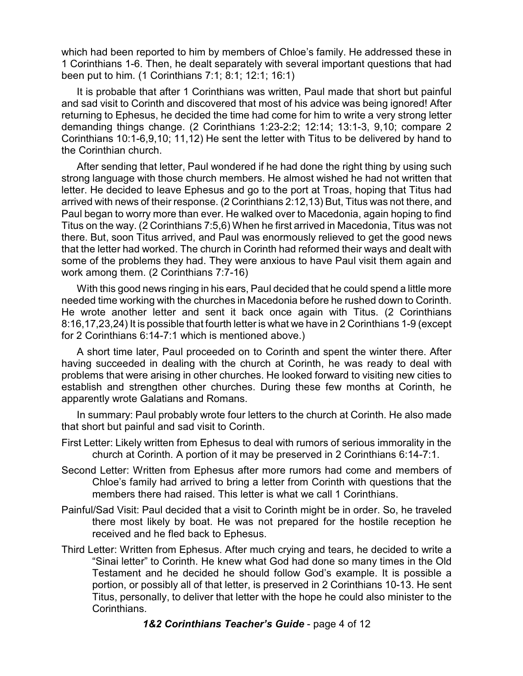which had been reported to him by members of Chloe's family. He addressed these in 1 Corinthians 1-6. Then, he dealt separately with several important questions that had been put to him. (1 Corinthians 7:1; 8:1; 12:1; 16:1)

It is probable that after 1 Corinthians was written, Paul made that short but painful and sad visit to Corinth and discovered that most of his advice was being ignored! After returning to Ephesus, he decided the time had come for him to write a very strong letter demanding things change. (2 Corinthians 1:23-2:2; 12:14; 13:1-3, 9,10; compare 2 Corinthians 10:1-6,9,10; 11,12) He sent the letter with Titus to be delivered by hand to the Corinthian church.

After sending that letter, Paul wondered if he had done the right thing by using such strong language with those church members. He almost wished he had not written that letter. He decided to leave Ephesus and go to the port at Troas, hoping that Titus had arrived with news of their response. (2 Corinthians 2:12,13) But, Titus was not there, and Paul began to worry more than ever. He walked over to Macedonia, again hoping to find Titus on the way. (2 Corinthians 7:5,6) When he first arrived in Macedonia, Titus was not there. But, soon Titus arrived, and Paul was enormously relieved to get the good news that the letter had worked. The church in Corinth had reformed their ways and dealt with some of the problems they had. They were anxious to have Paul visit them again and work among them. (2 Corinthians 7:7-16)

With this good news ringing in his ears, Paul decided that he could spend a little more needed time working with the churches in Macedonia before he rushed down to Corinth. He wrote another letter and sent it back once again with Titus. (2 Corinthians 8:16,17,23,24) It is possible that fourth letter is what we have in 2 Corinthians 1-9 (except for 2 Corinthians 6:14-7:1 which is mentioned above.)

A short time later, Paul proceeded on to Corinth and spent the winter there. After having succeeded in dealing with the church at Corinth, he was ready to deal with problems that were arising in other churches. He looked forward to visiting new cities to establish and strengthen other churches. During these few months at Corinth, he apparently wrote Galatians and Romans.

In summary: Paul probably wrote four letters to the church at Corinth. He also made that short but painful and sad visit to Corinth.

- First Letter: Likely written from Ephesus to deal with rumors of serious immorality in the church at Corinth. A portion of it may be preserved in 2 Corinthians 6:14-7:1.
- Second Letter: Written from Ephesus after more rumors had come and members of Chloe's family had arrived to bring a letter from Corinth with questions that the members there had raised. This letter is what we call 1 Corinthians.
- Painful/Sad Visit: Paul decided that a visit to Corinth might be in order. So, he traveled there most likely by boat. He was not prepared for the hostile reception he received and he fled back to Ephesus.
- Third Letter: Written from Ephesus. After much crying and tears, he decided to write a "Sinai letter" to Corinth. He knew what God had done so many times in the Old Testament and he decided he should follow God's example. It is possible a portion, or possibly all of that letter, is preserved in 2 Corinthians 10-13. He sent Titus, personally, to deliver that letter with the hope he could also minister to the Corinthians.

## *1&2 Corinthians Teacher's Guide* - page 4 of 12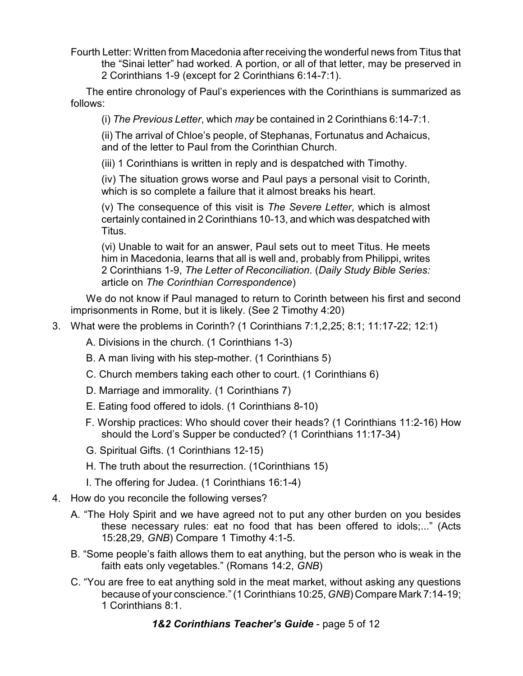Fourth Letter: Written from Macedonia after receiving the wonderful news from Titus that the "Sinai letter" had worked. A portion, or all of that letter, may be preserved in 2 Corinthians 1-9 (except for 2 Corinthians 6:14-7:1).

The entire chronology of Paul's experiences with the Corinthians is summarized as follows:

(i) *The Previous Letter*, which *may* be contained in 2 Corinthians 6:14-7:1.

(ii) The arrival of Chloe's people, of Stephanas, Fortunatus and Achaicus, and of the letter to Paul from the Corinthian Church.

(iii) 1 Corinthians is written in reply and is despatched with Timothy.

(iv) The situation grows worse and Paul pays a personal visit to Corinth, which is so complete a failure that it almost breaks his heart.

(v) The consequence of this visit is *The Severe Letter*, which is almost certainly contained in 2 Corinthians 10-13, and which was despatched with Titus.

(vi) Unable to wait for an answer, Paul sets out to meet Titus. He meets him in Macedonia, learns that all is well and, probably from Philippi, writes 2 Corinthians 1-9, *The Letter of Reconciliation*. (*Daily Study Bible Series:* article on *The Corinthian Correspondence*)

We do not know if Paul managed to return to Corinth between his first and second imprisonments in Rome, but it is likely. (See 2 Timothy 4:20)

3. What were the problems in Corinth? (1 Corinthians 7:1,2,25; 8:1; 11:17-22; 12:1)

A. Divisions in the church. (1 Corinthians 1-3)

- B. A man living with his step-mother. (1 Corinthians 5)
- C. Church members taking each other to court. (1 Corinthians 6)
- D. Marriage and immorality. (1 Corinthians 7)
- E. Eating food offered to idols. (1 Corinthians 8-10)
- F. Worship practices: Who should cover their heads? (1 Corinthians 11:2-16) How should the Lord's Supper be conducted? (1 Corinthians 11:17-34)
- G. Spiritual Gifts. (1 Corinthians 12-15)
- H. The truth about the resurrection. (1Corinthians 15)
- I. The offering for Judea. (1 Corinthians 16:1-4)
- 4. How do you reconcile the following verses?
	- A. "The Holy Spirit and we have agreed not to put any other burden on you besides these necessary rules: eat no food that has been offered to idols;..." (Acts 15:28,29, *GNB*) Compare 1 Timothy 4:1-5.
	- B. "Some people's faith allows them to eat anything, but the person who is weak in the faith eats only vegetables." (Romans 14:2, *GNB*)
	- C. "You are free to eat anything sold in the meat market, without asking any questions because of your conscience." (1 Corinthians 10:25, *GNB*) Compare Mark 7:14-19; 1 Corinthians 8:1.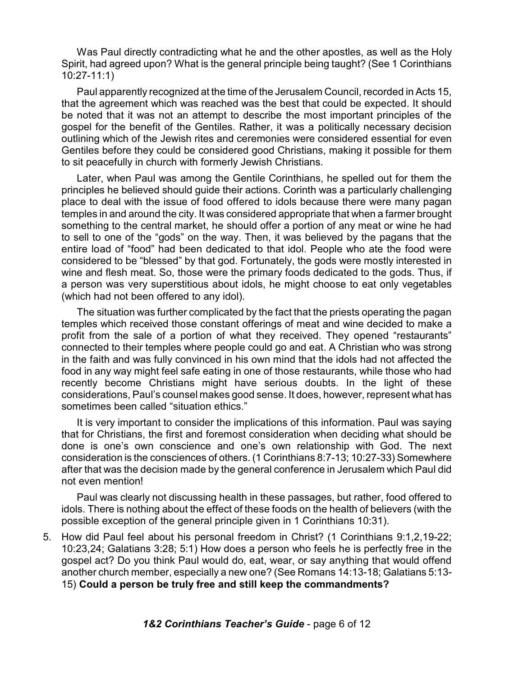Was Paul directly contradicting what he and the other apostles, as well as the Holy Spirit, had agreed upon? What is the general principle being taught? (See 1 Corinthians 10:27-11:1)

Paul apparently recognized at the time of the Jerusalem Council, recorded in Acts 15, that the agreement which was reached was the best that could be expected. It should be noted that it was not an attempt to describe the most important principles of the gospel for the benefit of the Gentiles. Rather, it was a politically necessary decision outlining which of the Jewish rites and ceremonies were considered essential for even Gentiles before they could be considered good Christians, making it possible for them to sit peacefully in church with formerly Jewish Christians.

Later, when Paul was among the Gentile Corinthians, he spelled out for them the principles he believed should guide their actions. Corinth was a particularly challenging place to deal with the issue of food offered to idols because there were many pagan temples in and around the city. It was considered appropriate that when a farmer brought something to the central market, he should offer a portion of any meat or wine he had to sell to one of the "gods" on the way. Then, it was believed by the pagans that the entire load of "food" had been dedicated to that idol. People who ate the food were considered to be "blessed" by that god. Fortunately, the gods were mostly interested in wine and flesh meat. So, those were the primary foods dedicated to the gods. Thus, if a person was very superstitious about idols, he might choose to eat only vegetables (which had not been offered to any idol).

The situation was further complicated by the fact that the priests operating the pagan temples which received those constant offerings of meat and wine decided to make a profit from the sale of a portion of what they received. They opened "restaurants" connected to their temples where people could go and eat. A Christian who was strong in the faith and was fully convinced in his own mind that the idols had not affected the food in any way might feel safe eating in one of those restaurants, while those who had recently become Christians might have serious doubts. In the light of these considerations, Paul's counsel makes good sense. It does, however, represent what has sometimes been called "situation ethics."

It is very important to consider the implications of this information. Paul was saying that for Christians, the first and foremost consideration when deciding what should be done is one's own conscience and one's own relationship with God. The next consideration is the consciences of others. (1 Corinthians 8:7-13; 10:27-33) Somewhere after that was the decision made by the general conference in Jerusalem which Paul did not even mention!

Paul was clearly not discussing health in these passages, but rather, food offered to idols. There is nothing about the effect of these foods on the health of believers (with the possible exception of the general principle given in 1 Corinthians 10:31).

5. How did Paul feel about his personal freedom in Christ? (1 Corinthians 9:1,2,19-22; 10:23,24; Galatians 3:28; 5:1) How does a person who feels he is perfectly free in the gospel act? Do you think Paul would do, eat, wear, or say anything that would offend another church member, especially a new one? (See Romans 14:13-18; Galatians 5:13- 15) **Could a person be truly free and still keep the commandments?**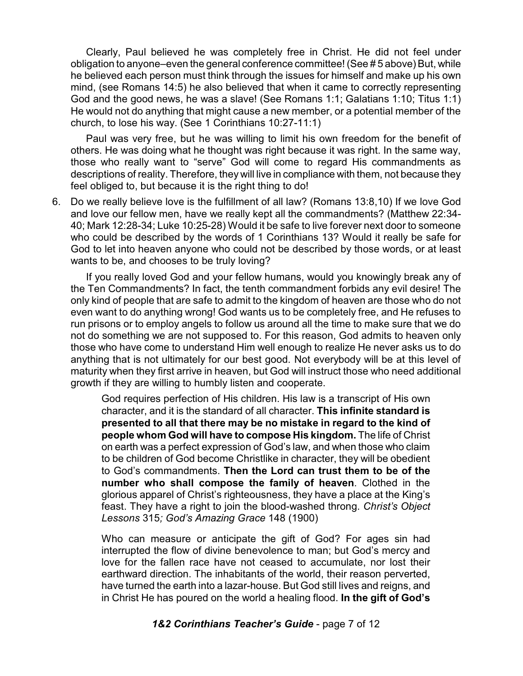Clearly, Paul believed he was completely free in Christ. He did not feel under obligation to anyone–even the general conference committee! (See # 5 above) But, while he believed each person must think through the issues for himself and make up his own mind, (see Romans 14:5) he also believed that when it came to correctly representing God and the good news, he was a slave! (See Romans 1:1; Galatians 1:10; Titus 1:1) He would not do anything that might cause a new member, or a potential member of the church, to lose his way. (See 1 Corinthians 10:27-11:1)

Paul was very free, but he was willing to limit his own freedom for the benefit of others. He was doing what he thought was right because it was right. In the same way, those who really want to "serve" God will come to regard His commandments as descriptions of reality. Therefore, they will live in compliance with them, not because they feel obliged to, but because it is the right thing to do!

6. Do we really believe love is the fulfillment of all law? (Romans 13:8,10) If we love God and love our fellow men, have we really kept all the commandments? (Matthew 22:34- 40; Mark 12:28-34; Luke 10:25-28) Would it be safe to live forever next door to someone who could be described by the words of 1 Corinthians 13? Would it really be safe for God to let into heaven anyone who could not be described by those words, or at least wants to be, and chooses to be truly loving?

If you really loved God and your fellow humans, would you knowingly break any of the Ten Commandments? In fact, the tenth commandment forbids any evil desire! The only kind of people that are safe to admit to the kingdom of heaven are those who do not even want to do anything wrong! God wants us to be completely free, and He refuses to run prisons or to employ angels to follow us around all the time to make sure that we do not do something we are not supposed to. For this reason, God admits to heaven only those who have come to understand Him well enough to realize He never asks us to do anything that is not ultimately for our best good. Not everybody will be at this level of maturity when they first arrive in heaven, but God will instruct those who need additional growth if they are willing to humbly listen and cooperate.

God requires perfection of His children. His law is a transcript of His own character, and it is the standard of all character. **This infinite standard is presented to all that there may be no mistake in regard to the kind of people whom God will have to compose His kingdom.** The life of Christ on earth was a perfect expression of God's law, and when those who claim to be children of God become Christlike in character, they will be obedient to God's commandments. **Then the Lord can trust them to be of the number who shall compose the family of heaven**. Clothed in the glorious apparel of Christ's righteousness, they have a place at the King's feast. They have a right to join the blood-washed throng. *Christ's Object Lessons* 315*; God's Amazing Grace* 148 (1900)

Who can measure or anticipate the gift of God? For ages sin had interrupted the flow of divine benevolence to man; but God's mercy and love for the fallen race have not ceased to accumulate, nor lost their earthward direction. The inhabitants of the world, their reason perverted, have turned the earth into a lazar-house. But God still lives and reigns, and in Christ He has poured on the world a healing flood. **In the gift of God's**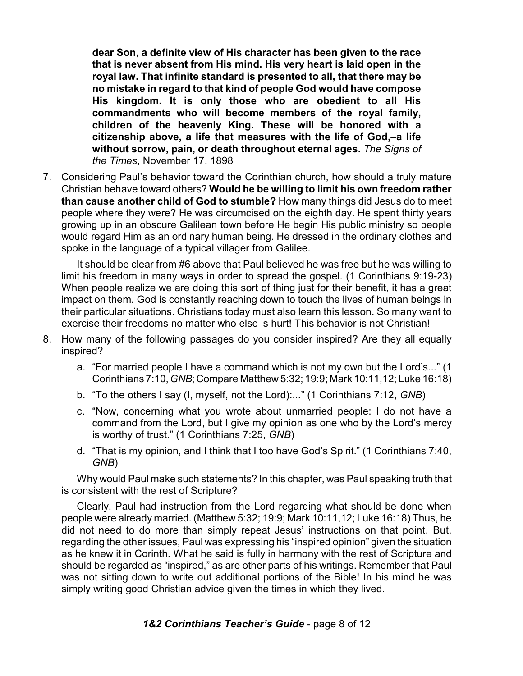**dear Son, a definite view of His character has been given to the race that is never absent from His mind. His very heart is laid open in the royal law. That infinite standard is presented to all, that there may be no mistake in regard to that kind of people God would have compose His kingdom. It is only those who are obedient to all His commandments who will become members of the royal family, children of the heavenly King. These will be honored with a citizenship above, a life that measures with the life of God,–a life without sorrow, pain, or death throughout eternal ages.** *The Signs of the Times*, November 17, 1898

7. Considering Paul's behavior toward the Corinthian church, how should a truly mature Christian behave toward others? **Would he be willing to limit his own freedom rather than cause another child of God to stumble?** How many things did Jesus do to meet people where they were? He was circumcised on the eighth day. He spent thirty years growing up in an obscure Galilean town before He begin His public ministry so people would regard Him as an ordinary human being. He dressed in the ordinary clothes and spoke in the language of a typical villager from Galilee.

It should be clear from #6 above that Paul believed he was free but he was willing to limit his freedom in many ways in order to spread the gospel. (1 Corinthians 9:19-23) When people realize we are doing this sort of thing just for their benefit, it has a great impact on them. God is constantly reaching down to touch the lives of human beings in their particular situations. Christians today must also learn this lesson. So many want to exercise their freedoms no matter who else is hurt! This behavior is not Christian!

- 8. How many of the following passages do you consider inspired? Are they all equally inspired?
	- a. "For married people I have a command which is not my own but the Lord's..." (1 Corinthians 7:10,*GNB*; Compare Matthew 5:32; 19:9; Mark 10:11,12; Luke 16:18)
	- b. "To the others I say (I, myself, not the Lord):..." (1 Corinthians 7:12, *GNB*)
	- c. "Now, concerning what you wrote about unmarried people: I do not have a command from the Lord, but I give my opinion as one who by the Lord's mercy is worthy of trust." (1 Corinthians 7:25, *GNB*)
	- d. "That is my opinion, and I think that I too have God's Spirit." (1 Corinthians 7:40, *GNB*)

Why would Paul make such statements? In this chapter, was Paul speaking truth that is consistent with the rest of Scripture?

Clearly, Paul had instruction from the Lord regarding what should be done when people were already married. (Matthew 5:32; 19:9; Mark 10:11,12; Luke 16:18) Thus, he did not need to do more than simply repeat Jesus' instructions on that point. But, regarding the other issues, Paul was expressing his "inspired opinion" given the situation as he knew it in Corinth. What he said is fully in harmony with the rest of Scripture and should be regarded as "inspired," as are other parts of his writings. Remember that Paul was not sitting down to write out additional portions of the Bible! In his mind he was simply writing good Christian advice given the times in which they lived.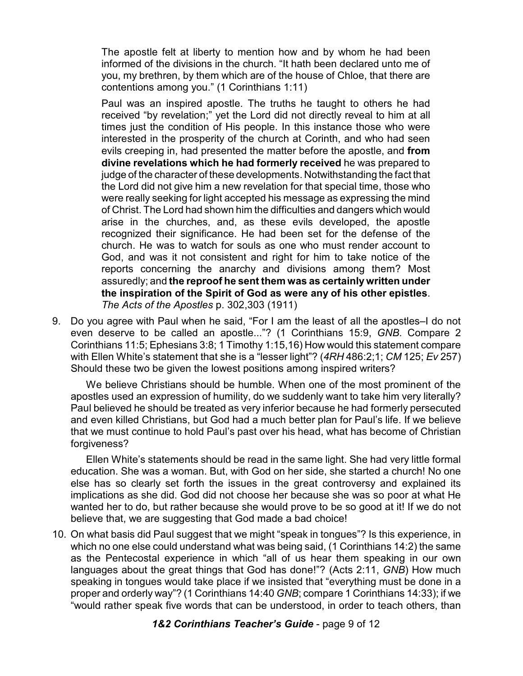The apostle felt at liberty to mention how and by whom he had been informed of the divisions in the church. "It hath been declared unto me of you, my brethren, by them which are of the house of Chloe, that there are contentions among you." (1 Corinthians 1:11)

Paul was an inspired apostle. The truths he taught to others he had received "by revelation;" yet the Lord did not directly reveal to him at all times just the condition of His people. In this instance those who were interested in the prosperity of the church at Corinth, and who had seen evils creeping in, had presented the matter before the apostle, and **from divine revelations which he had formerly received** he was prepared to judge of the character of these developments. Notwithstanding the fact that the Lord did not give him a new revelation for that special time, those who were really seeking for light accepted his message as expressing the mind of Christ. The Lord had shown him the difficulties and dangers which would arise in the churches, and, as these evils developed, the apostle recognized their significance. He had been set for the defense of the church. He was to watch for souls as one who must render account to God, and was it not consistent and right for him to take notice of the reports concerning the anarchy and divisions among them? Most assuredly; and **the reproof he sent them was as certainly written under the inspiration of the Spirit of God as were any of his other epistles**. *The Acts of the Apostles* p. 302,303 (1911)

9. Do you agree with Paul when he said, "For I am the least of all the apostles–I do not even deserve to be called an apostle..."? (1 Corinthians 15:9, *GNB*. Compare 2 Corinthians 11:5; Ephesians 3:8; 1 Timothy 1:15,16) How would this statement compare with Ellen White's statement that she is a "lesser light"? (*4RH* 486:2;1; *CM* 125; *Ev* 257) Should these two be given the lowest positions among inspired writers?

We believe Christians should be humble. When one of the most prominent of the apostles used an expression of humility, do we suddenly want to take him very literally? Paul believed he should be treated as very inferior because he had formerly persecuted and even killed Christians, but God had a much better plan for Paul's life. If we believe that we must continue to hold Paul's past over his head, what has become of Christian forgiveness?

Ellen White's statements should be read in the same light. She had very little formal education. She was a woman. But, with God on her side, she started a church! No one else has so clearly set forth the issues in the great controversy and explained its implications as she did. God did not choose her because she was so poor at what He wanted her to do, but rather because she would prove to be so good at it! If we do not believe that, we are suggesting that God made a bad choice!

10. On what basis did Paul suggest that we might "speak in tongues"? Is this experience, in which no one else could understand what was being said, (1 Corinthians 14:2) the same as the Pentecostal experience in which "all of us hear them speaking in our own languages about the great things that God has done!"? (Acts 2:11, *GNB*) How much speaking in tongues would take place if we insisted that "everything must be done in a proper and orderly way"? (1 Corinthians 14:40 *GNB*; compare 1 Corinthians 14:33); if we "would rather speak five words that can be understood, in order to teach others, than

*1&2 Corinthians Teacher's Guide* - page 9 of 12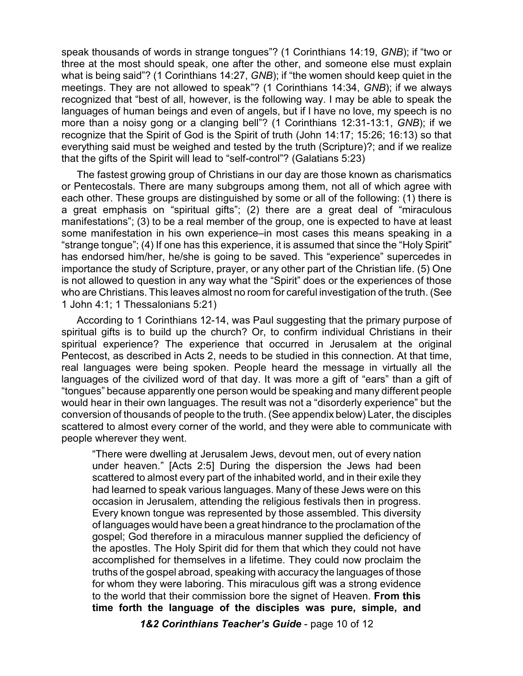speak thousands of words in strange tongues"? (1 Corinthians 14:19, *GNB*); if "two or three at the most should speak, one after the other, and someone else must explain what is being said"? (1 Corinthians 14:27, *GNB*); if "the women should keep quiet in the meetings. They are not allowed to speak"? (1 Corinthians 14:34, *GNB*); if we always recognized that "best of all, however, is the following way. I may be able to speak the languages of human beings and even of angels, but if I have no love, my speech is no more than a noisy gong or a clanging bell"? (1 Corinthians 12:31-13:1, *GNB*); if we recognize that the Spirit of God is the Spirit of truth (John 14:17; 15:26; 16:13) so that everything said must be weighed and tested by the truth (Scripture)?; and if we realize that the gifts of the Spirit will lead to "self-control"? (Galatians 5:23)

The fastest growing group of Christians in our day are those known as charismatics or Pentecostals. There are many subgroups among them, not all of which agree with each other. These groups are distinguished by some or all of the following: (1) there is a great emphasis on "spiritual gifts"; (2) there are a great deal of "miraculous manifestations"; (3) to be a real member of the group, one is expected to have at least some manifestation in his own experience–in most cases this means speaking in a "strange tongue"; (4) If one has this experience, it is assumed that since the "Holy Spirit" has endorsed him/her, he/she is going to be saved. This "experience" supercedes in importance the study of Scripture, prayer, or any other part of the Christian life. (5) One is not allowed to question in any way what the "Spirit" does or the experiences of those who are Christians. This leaves almost no room for careful investigation of the truth. (See 1 John 4:1; 1 Thessalonians 5:21)

According to 1 Corinthians 12-14, was Paul suggesting that the primary purpose of spiritual gifts is to build up the church? Or, to confirm individual Christians in their spiritual experience? The experience that occurred in Jerusalem at the original Pentecost, as described in Acts 2, needs to be studied in this connection. At that time, real languages were being spoken. People heard the message in virtually all the languages of the civilized word of that day. It was more a gift of "ears" than a gift of "tongues" because apparently one person would be speaking and many different people would hear in their own languages. The result was not a "disorderly experience" but the conversion of thousands of people to the truth. (See appendix below) Later, the disciples scattered to almost every corner of the world, and they were able to communicate with people wherever they went.

"There were dwelling at Jerusalem Jews, devout men, out of every nation under heaven." [Acts 2:5] During the dispersion the Jews had been scattered to almost every part of the inhabited world, and in their exile they had learned to speak various languages. Many of these Jews were on this occasion in Jerusalem, attending the religious festivals then in progress. Every known tongue was represented by those assembled. This diversity of languages would have been a great hindrance to the proclamation of the gospel; God therefore in a miraculous manner supplied the deficiency of the apostles. The Holy Spirit did for them that which they could not have accomplished for themselves in a lifetime. They could now proclaim the truths of the gospel abroad, speaking with accuracy the languages of those for whom they were laboring. This miraculous gift was a strong evidence to the world that their commission bore the signet of Heaven. **From this time forth the language of the disciples was pure, simple, and**

*1&2 Corinthians Teacher's Guide* - page 10 of 12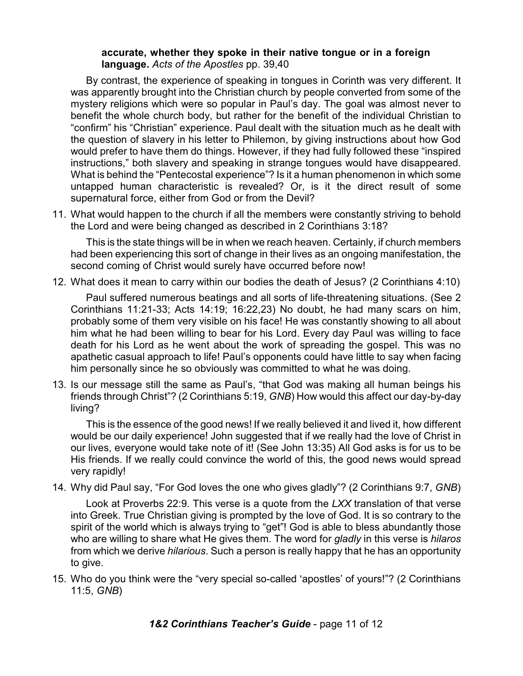## **accurate, whether they spoke in their native tongue or in a foreign language.** *Acts of the Apostles* pp. 39,40

By contrast, the experience of speaking in tongues in Corinth was very different. It was apparently brought into the Christian church by people converted from some of the mystery religions which were so popular in Paul's day. The goal was almost never to benefit the whole church body, but rather for the benefit of the individual Christian to "confirm" his "Christian" experience. Paul dealt with the situation much as he dealt with the question of slavery in his letter to Philemon, by giving instructions about how God would prefer to have them do things. However, if they had fully followed these "inspired instructions," both slavery and speaking in strange tongues would have disappeared. What is behind the "Pentecostal experience"? Is it a human phenomenon in which some untapped human characteristic is revealed? Or, is it the direct result of some supernatural force, either from God or from the Devil?

11. What would happen to the church if all the members were constantly striving to behold the Lord and were being changed as described in 2 Corinthians 3:18?

This is the state things will be in when we reach heaven. Certainly, if church members had been experiencing this sort of change in their lives as an ongoing manifestation, the second coming of Christ would surely have occurred before now!

12. What does it mean to carry within our bodies the death of Jesus? (2 Corinthians 4:10)

Paul suffered numerous beatings and all sorts of life-threatening situations. (See 2 Corinthians 11:21-33; Acts 14:19; 16:22,23) No doubt, he had many scars on him, probably some of them very visible on his face! He was constantly showing to all about him what he had been willing to bear for his Lord. Every day Paul was willing to face death for his Lord as he went about the work of spreading the gospel. This was no apathetic casual approach to life! Paul's opponents could have little to say when facing him personally since he so obviously was committed to what he was doing.

13. Is our message still the same as Paul's, "that God was making all human beings his friends through Christ"? (2 Corinthians 5:19, *GNB*) How would this affect our day-by-day living?

This is the essence of the good news! If we really believed it and lived it, how different would be our daily experience! John suggested that if we really had the love of Christ in our lives, everyone would take note of it! (See John 13:35) All God asks is for us to be His friends. If we really could convince the world of this, the good news would spread very rapidly!

14. Why did Paul say, "For God loves the one who gives gladly"? (2 Corinthians 9:7, *GNB*)

Look at Proverbs 22:9. This verse is a quote from the *LXX* translation of that verse into Greek. True Christian giving is prompted by the love of God. It is so contrary to the spirit of the world which is always trying to "get"! God is able to bless abundantly those who are willing to share what He gives them. The word for *gladly* in this verse is *hilaros* from which we derive *hilarious*. Such a person is really happy that he has an opportunity to give.

15. Who do you think were the "very special so-called 'apostles' of yours!"? (2 Corinthians 11:5, *GNB*)